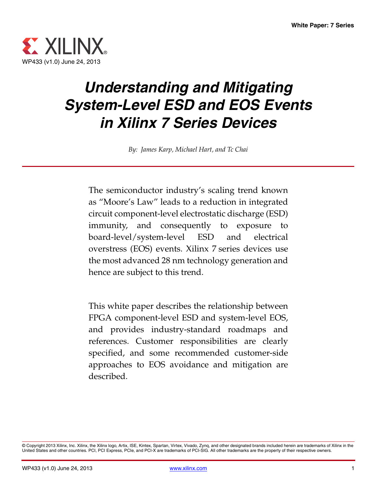

# *Understanding and Mitigating System-Level ESD and EOS Events in Xilinx 7 Series Devices*

*By: James Karp, Michael Hart, and Tc Chai*

The semiconductor industry's scaling trend known as "Moore's Law" leads to a reduction in integrated circuit component-level electrostatic discharge (ESD) immunity, and consequently to exposure to board-level/system-level ESD and electrical overstress (EOS) events. Xilinx 7 series devices use the most advanced 28 nm technology generation and hence are subject to this trend.

This white paper describes the relationship between FPGA component-level ESD and system-level EOS, and provides industry-standard roadmaps and references. Customer responsibilities are clearly specified, and some recommended customer-side approaches to EOS avoidance and mitigation are described.

<sup>©</sup> Copyright 2013 Xilinx, Inc. Xilinx, the Xilinx logo, Artix, ISE, Kintex, Spartan, Virtex, Vivado, Zynq, and other designated brands included herein are trademarks of Xilinx in the<br>United States and other countries. PCI,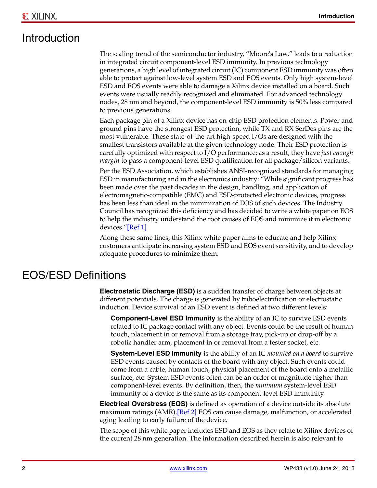# Introduction

The scaling trend of the semiconductor industry, "Moore's Law," leads to a reduction in integrated circuit component-level ESD immunity. In previous technology generations, a high level of integrated circuit (IC) component ESD immunity was often able to protect against low-level system ESD and EOS events. Only high system-level ESD and EOS events were able to damage a Xilinx device installed on a board. Such events were usually readily recognized and eliminated. For advanced technology nodes, 28 nm and beyond, the component-level ESD immunity is 50% less compared to previous generations.

Each package pin of a Xilinx device has on-chip ESD protection elements. Power and ground pins have the strongest ESD protection, while TX and RX SerDes pins are the most vulnerable. These state-of-the-art high-speed I/Os are designed with the smallest transistors available at the given technology node. Their ESD protection is carefully optimized with respect to I/O performance; as a result, they have *just enough margin* to pass a component-level ESD qualification for all package/silicon variants.

Per the ESD Association, which establishes ANSI-recognized standards for managing ESD in manufacturing and in the electronics industry: "While significant progress has been made over the past decades in the design, handling, and application of electromagnetic-compatible (EMC) and ESD-protected electronic devices, progress has been less than ideal in the minimization of EOS of such devices. The Industry Council has recognized this deficiency and has decided to write a white paper on EOS to help the industry understand the root causes of EOS and minimize it in electronic devices.["\[Ref 1\]](#page-6-0)

Along these same lines, this Xilinx white paper aims to educate and help Xilinx customers anticipate increasing system ESD and EOS event sensitivity, and to develop adequate procedures to minimize them.

#### EOS/ESD Definitions

**Electrostatic Discharge (ESD)** is a sudden transfer of charge between objects at different potentials. The charge is generated by triboelectrification or electrostatic induction. Device survival of an ESD event is defined at two different levels:

**Component-Level ESD Immunity** is the ability of an IC to survive ESD events related to IC package contact with any object. Events could be the result of human touch, placement in or removal from a storage tray, pick-up or drop-off by a robotic handler arm, placement in or removal from a tester socket, etc.

**System-Level ESD Immunity** is the ability of an IC *mounted on a board* to survive ESD events caused by contacts of the board with any object. Such events could come from a cable, human touch, physical placement of the board onto a metallic surface, etc. System ESD events often can be an order of magnitude higher than component-level events. By definition, then, the *minimum* system-level ESD immunity of a device is the same as its component-level ESD immunity.

**Electrical Overstress (EOS)** is defined as operation of a device outside its absolute maximum ratings (AMR).[\[Ref 2\]](#page-6-1) EOS can cause damage, malfunction, or accelerated aging leading to early failure of the device.

The scope of this white paper includes ESD and EOS as they relate to Xilinx devices of the current 28 nm generation. The information described herein is also relevant to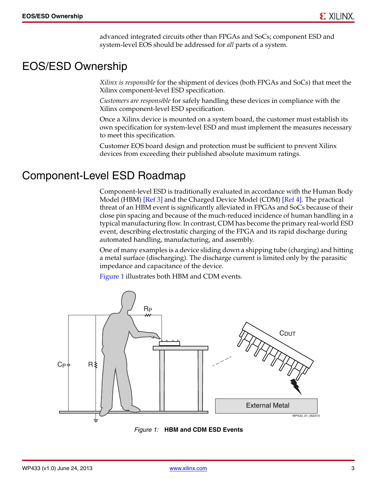advanced integrated circuits other than FPGAs and SoCs; component ESD and system-level EOS should be addressed for *all* parts of a system.

# EOS/ESD Ownership

*Xilinx is responsible* for the shipment of devices (both FPGAs and SoCs) that meet the Xilinx component-level ESD specification.

*Customers are responsible* for safely handling these devices in compliance with the Xilinx component-level ESD specification.

Once a Xilinx device is mounted on a system board, the customer must establish its own specification for system-level ESD and must implement the measures necessary to meet this specification.

Customer EOS board design and protection must be sufficient to prevent Xilinx devices from exceeding their published absolute maximum ratings.

### Component-Level ESD Roadmap

Component-level ESD is traditionally evaluated in accordance with the Human Body Model (HBM) [\[Ref 3\]](#page-6-2) and the Charged Device Model (CDM) [\[Ref 4\]](#page-6-3). The practical threat of an HBM event is significantly alleviated in FPGAs and SoCs because of their close pin spacing and because of the much-reduced incidence of human handling in a typical manufacturing flow. In contrast, CDM has become the primary real-world ESD event, describing electrostatic charging of the FPGA and its rapid discharge during automated handling, manufacturing, and assembly.

One of many examples is a device sliding down a shipping tube (charging) and hitting a metal surface (discharging). The discharge current is limited only by the parasitic impedance and capacitance of the device.

[Figure 1](#page-2-0) illustrates both HBM and CDM events.

<span id="page-2-0"></span>

*Figure 1:* **HBM and CDM ESD Events**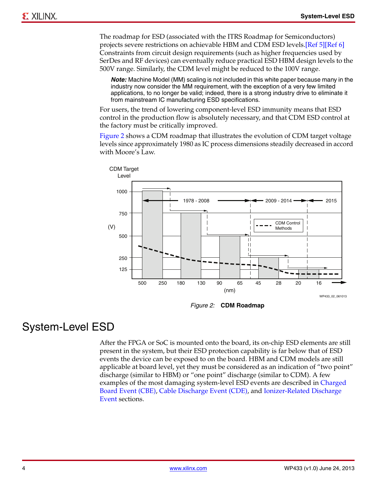The roadmap for ESD (associated with the ITRS Roadmap for Semiconductors) projects severe restrictions on achievable HBM and CDM ESD levels[.\[Ref 5\]](#page-6-4)[\[Ref 6\]](#page-6-5) Constraints from circuit design requirements (such as higher frequencies used by SerDes and RF devices) can eventually reduce practical ESD HBM design levels to the 500V range. Similarly, the CDM level might be reduced to the 100V range.

*Note:* Machine Model (MM) scaling is not included in this white paper because many in the industry now consider the MM requirement, with the exception of a very few limited applications, to no longer be valid; indeed, there is a strong industry drive to eliminate it from mainstream IC manufacturing ESD specifications.

For users, the trend of lowering component-level ESD immunity means that ESD control in the production flow is absolutely necessary, and that CDM ESD control at the factory must be critically improved.

[Figure 2](#page-3-0) shows a CDM roadmap that illustrates the evolution of CDM target voltage levels since approximately 1980 as IC process dimensions steadily decreased in accord with Moore's Law.

<span id="page-3-0"></span>

*Figure 2:* **CDM Roadmap**

# System-Level ESD

After the FPGA or SoC is mounted onto the board, its on-chip ESD elements are still present in the system, but their ESD protection capability is far below that of ESD events the device can be exposed to on the board. HBM and CDM models are still applicable at board level, yet they must be considered as an indication of "two point" discharge (similar to HBM) or "one point" discharge (similar to CDM). A few examples of the most damaging system-level ESD events are described in [Charged](#page-4-0)  [Board Event \(CBE\)](#page-4-0), [Cable Discharge Event \(CDE\),](#page-4-1) and [Ionizer-Related Discharge](#page-4-2)  [Event](#page-4-2) sections.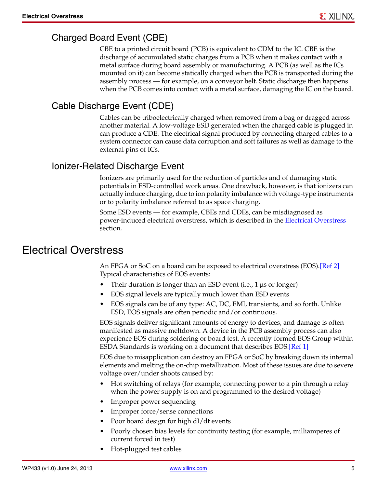#### <span id="page-4-0"></span>Charged Board Event (CBE)

CBE to a printed circuit board (PCB) is equivalent to CDM to the IC. CBE is the discharge of accumulated static charges from a PCB when it makes contact with a metal surface during board assembly or manufacturing. A PCB (as well as the ICs mounted on it) can become statically charged when the PCB is transported during the assembly process — for example, on a conveyor belt. Static discharge then happens when the PCB comes into contact with a metal surface, damaging the IC on the board.

#### <span id="page-4-1"></span>Cable Discharge Event (CDE)

Cables can be triboelectrically charged when removed from a bag or dragged across another material. A low-voltage ESD generated when the charged cable is plugged in can produce a CDE. The electrical signal produced by connecting charged cables to a system connector can cause data corruption and soft failures as well as damage to the external pins of ICs.

#### <span id="page-4-2"></span>Ionizer-Related Discharge Event

Ionizers are primarily used for the reduction of particles and of damaging static potentials in ESD-controlled work areas. One drawback, however, is that ionizers can actually induce charging, due to ion polarity imbalance with voltage-type instruments or to polarity imbalance referred to as space charging.

Some ESD events — for example, CBEs and CDEs, can be misdiagnosed as power-induced electrical overstress, which is described in the [Electrical Overstress](#page-4-3) section.

### <span id="page-4-3"></span>Electrical Overstress

An FPGA or SoC on a board can be exposed to electrical overstress (EOS).[\[Ref 2\]](#page-6-1) Typical characteristics of EOS events:

- Their duration is longer than an ESD event (i.e., 1 µs or longer)
- EOS signal levels are typically much lower than ESD events
- EOS signals can be of any type: AC, DC, EMI, transients, and so forth. Unlike ESD, EOS signals are often periodic and/or continuous.

EOS signals deliver significant amounts of energy to devices, and damage is often manifested as massive meltdown. A device in the PCB assembly process can also experience EOS during soldering or board test. A recently-formed EOS Group within ESDA Standards is working on a document that describes EOS[.\[Ref 1\]](#page-6-0)

EOS due to misapplication can destroy an FPGA or SoC by breaking down its internal elements and melting the on-chip metallization. Most of these issues are due to severe voltage over/under shoots caused by:

- Hot switching of relays (for example, connecting power to a pin through a relay when the power supply is on and programmed to the desired voltage)
- Improper power sequencing
- Improper force/sense connections
- Poor board design for high dI/dt events
- Poorly chosen bias levels for continuity testing (for example, milliamperes of current forced in test)
- Hot-plugged test cables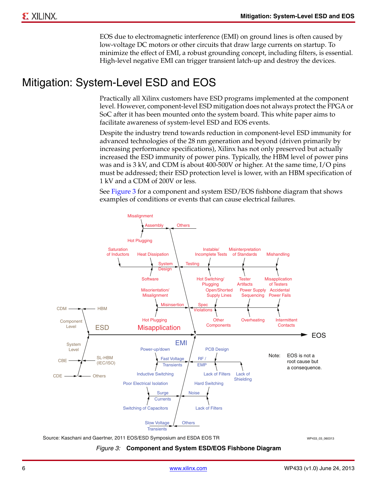EOS due to electromagnetic interference (EMI) on ground lines is often caused by low-voltage DC motors or other circuits that draw large currents on startup. To minimize the effect of EMI, a robust grounding concept, including filters, is essential. High-level negative EMI can trigger transient latch-up and destroy the devices.

# Mitigation: System-Level ESD and EOS

Practically all Xilinx customers have ESD programs implemented at the component level. However, component-level ESD mitigation does not always protect the FPGA or SoC after it has been mounted onto the system board. This white paper aims to facilitate awareness of system-level ESD and EOS events.

Despite the industry trend towards reduction in component-level ESD immunity for advanced technologies of the 28 nm generation and beyond (driven primarily by increasing performance specifications), Xilinx has not only preserved but actually increased the ESD immunity of power pins. Typically, the HBM level of power pins was and is 3 kV, and CDM is about 400-500V or higher. At the same time, I/O pins must be addressed; their ESD protection level is lower, with an HBM specification of 1 kV and a CDM of 200V or less.

See [Figure 3](#page-5-0) for a component and system ESD/EOS fishbone diagram that shows examples of conditions or events that can cause electrical failures.

<span id="page-5-0"></span>

Source: Kaschani and Gaertner, 2011 EOS/ESD Symposium and ESDA EOS TR<br>WP433\_03\_060313

#### *Figure 3:* **Component and System ESD/EOS Fishbone Diagram**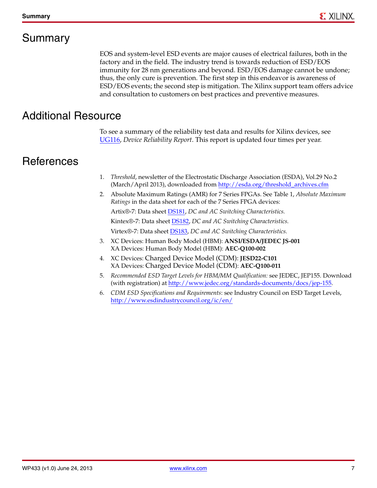# Summary

EOS and system-level ESD events are major causes of electrical failures, both in the factory and in the field. The industry trend is towards reduction of ESD/EOS immunity for 28 nm generations and beyond. ESD/EOS damage cannot be undone; thus, the only cure is prevention. The first step in this endeavor is awareness of ESD/EOS events; the second step is mitigation. The Xilinx support team offers advice and consultation to customers on best practices and preventive measures.

# Additional Resource

To see a summary of the reliability test data and results for Xilinx devices, see [UG116,](http://www.xilinx.com/support/documentation/user_guides/ug116.pdf) *Device Reliability Report*. This report is updated four times per year.

# **References**

- <span id="page-6-0"></span>1. *Threshold*, newsletter of the Electrostatic Discharge Association (ESDA), Vol.29 No.2 (March/April 2013), downloaded from [http://esda.org/threshold\\_archives.cfm](http://esda.org/threshold_archives.cfm)
- <span id="page-6-1"></span>2. Absolute Maximum Ratings (AMR) for 7 Series FPGAs. See Table 1, *Absolute Maximum Ratings* in the data sheet for each of the 7 Series FPGA devices: Artix®-7: Data sheet [DS181,](http://www.xilinx.com/support/documentation/data_sheets/ds181_Artix_7_Data_Sheet.pdf) *DC and AC Switching Characteristics.* Kintex®-7: Data sheet [DS182,](http://www.xilinx.com/support/documentation/data_sheets/ds182_Kintex_7_Data_Sheet.pdf) *DC and AC Switching Characteristics.* Virtex®-7: Data sheet [DS183](http://www.xilinx.com/support/documentation/data_sheets/ds183_Virtex_7_Data_Sheet.pdf), *DC and AC Switching Characteristics.*
- <span id="page-6-2"></span>3. XC Devices: Human Body Model (HBM): **ANSI/ESDA/JEDEC JS-001** XA Devices: Human Body Model (HBM): **AEC-Q100-002**
- <span id="page-6-3"></span>4. XC Devices: Charged Device Model (CDM): **JESD22-C101** XA Devices: Charged Device Model (CDM): **AEC-Q100-011**
- <span id="page-6-4"></span>5. *Recommended ESD Target Levels for HBM/MM Qualification:* see JEDEC, JEP155. Download (with registration) at [http://www.jedec.org/standards-documents/docs/jep-155.](http://www.jedec.org/standards-documents/docs/jep-155)
- <span id="page-6-5"></span>6. *CDM ESD Specifications and Requirements*: see Industry Council on ESD Target Levels, <http://www.esdindustrycouncil.org/ic/en/>